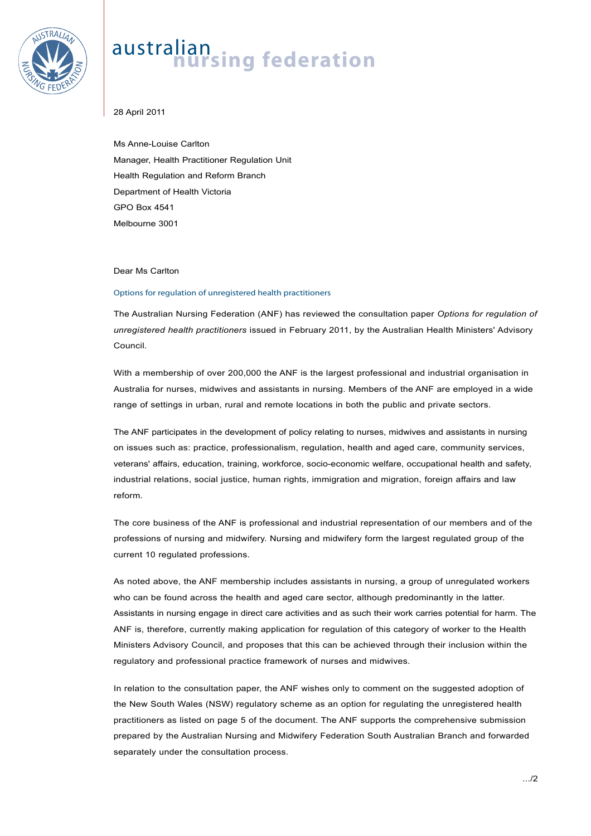

## australian<br>**nursing federation**

28 April 2011

Ms Anne-Louise Carlton Manager, Health Practitioner Regulation Unit Health Regulation and Reform Branch Department of Health Victoria GPO Box 4541 Melbourne 3001

## Dear Ms Carlton

## Options for regulation of unregistered health practitioners

The Australian Nursing Federation (ANF) has reviewed the consultation paper *Options for regulation of unregistered health practitioners* issued in February 2011, by the Australian Health Ministers' Advisory Council.

With a membership of over 200,000 the ANF is the largest professional and industrial organisation in Australia for nurses, midwives and assistants in nursing. Members of the ANF are employed in a wide range of settings in urban, rural and remote locations in both the public and private sectors.

The ANF participates in the development of policy relating to nurses, midwives and assistants in nursing on issues such as: practice, professionalism, regulation, health and aged care, community services, veterans' affairs, education, training, workforce, socio-economic welfare, occupational health and safety, industrial relations, social justice, human rights, immigration and migration, foreign affairs and law reform.

The core business of the ANF is professional and industrial representation of our members and of the professions of nursing and midwifery. Nursing and midwifery form the largest regulated group of the current 10 regulated professions.

As noted above, the ANF membership includes assistants in nursing, a group of unregulated workers who can be found across the health and aged care sector, although predominantly in the latter. Assistants in nursing engage in direct care activities and as such their work carries potential for harm. The ANF is, therefore, currently making application for regulation of this category of worker to the Health Ministers Advisory Council, and proposes that this can be achieved through their inclusion within the regulatory and professional practice framework of nurses and midwives.

In relation to the consultation paper, the ANF wishes only to comment on the suggested adoption of the New South Wales (NSW) regulatory scheme as an option for regulating the unregistered health practitioners as listed on page 5 of the document. The ANF supports the comprehensive submission prepared by the Australian Nursing and Midwifery Federation South Australian Branch and forwarded separately under the consultation process.